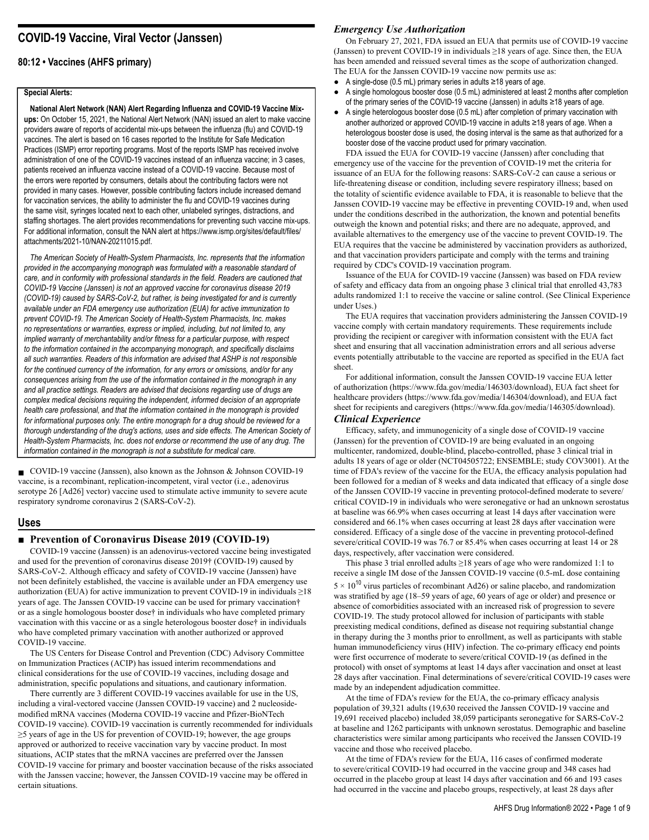# **COVID-19 Vaccine, Viral Vector (Janssen)**

# **80:12 • Vaccines (AHFS primary)**

### **Special Alerts:**

**National Alert Network (NAN) Alert Regarding Influenza and COVID-19 Vaccine Mixups:** On October 15, 2021, the National Alert Network (NAN) issued an alert to make vaccine providers aware of reports of accidental mix-ups between the influenza (flu) and COVID-19 vaccines. The alert is based on 16 cases reported to the Institute for Safe Medication Practices (ISMP) error reporting programs. Most of the reports ISMP has received involve administration of one of the COVID-19 vaccines instead of an influenza vaccine; in 3 cases, patients received an influenza vaccine instead of a COVID-19 vaccine. Because most of the errors were reported by consumers, details about the contributing factors were not provided in many cases. However, possible contributing factors include increased demand for vaccination services, the ability to administer the flu and COVID-19 vaccines during the same visit, syringes located next to each other, unlabeled syringes, distractions, and staffing shortages. The alert provides recommendations for preventing such vaccine mix-ups. For additional information, consult the NAN alert at https://www.ismp.org/sites/default/files/ attachments/2021-10/NAN-20211015.pdf.

*The American Society of Health-System Pharmacists, Inc. represents that the information provided in the accompanying monograph was formulated with a reasonable standard of care, and in conformity with professional standards in the field. Readers are cautioned that COVID-19 Vaccine (Janssen) is not an approved vaccine for coronavirus disease 2019 (COVID-19) caused by SARS-CoV-2, but rather, is being investigated for and is currently available under an FDA emergency use authorization (EUA) for active immunization to prevent COVID-19. The American Society of Health-System Pharmacists, Inc. makes no representations or warranties, express or implied, including, but not limited to, any implied warranty of merchantability and/or fitness for a particular purpose, with respect to the information contained in the accompanying monograph, and specifically disclaims all such warranties. Readers of this information are advised that ASHP is not responsible for the continued currency of the information, for any errors or omissions, and/or for any consequences arising from the use of the information contained in the monograph in any and all practice settings. Readers are advised that decisions regarding use of drugs are complex medical decisions requiring the independent, informed decision of an appropriate health care professional, and that the information contained in the monograph is provided for informational purposes only. The entire monograph for a drug should be reviewed for a thorough understanding of the drug's actions, uses and side effects. The American Society of Health-System Pharmacists, Inc. does not endorse or recommend the use of any drug. The information contained in the monograph is not a substitute for medical care.*

■ COVID-19 vaccine (Janssen), also known as the Johnson & Johnson COVID-19 vaccine, is a recombinant, replication-incompetent, viral vector (i.e., adenovirus serotype 26 [Ad26] vector) vaccine used to stimulate active immunity to severe acute respiratory syndrome coronavirus 2 (SARS-CoV-2).

### **Uses**

### **■ Prevention of Coronavirus Disease 2019 (COVID-19)**

COVID-19 vaccine (Janssen) is an adenovirus-vectored vaccine being investigated and used for the prevention of coronavirus disease 2019† (COVID-19) caused by SARS-CoV-2. Although efficacy and safety of COVID-19 vaccine (Janssen) have not been definitely established, the vaccine is available under an FDA emergency use authorization (EUA) for active immunization to prevent COVID-19 in individuals  $\geq$ 18 years of age. The Janssen COVID-19 vaccine can be used for primary vaccination† or as a single homologous booster dose† in individuals who have completed primary vaccination with this vaccine or as a single heterologous booster dose† in individuals who have completed primary vaccination with another authorized or approved COVID-19 vaccine.

The US Centers for Disease Control and Prevention (CDC) Advisory Committee on Immunization Practices (ACIP) has issued interim recommendations and clinical considerations for the use of COVID-19 vaccines, including dosage and administration, specific populations and situations, and cautionary information.

There currently are 3 different COVID-19 vaccines available for use in the US, including a viral-vectored vaccine (Janssen COVID-19 vaccine) and 2 nucleosidemodified mRNA vaccines (Moderna COVID-19 vaccine and Pfizer-BioNTech COVID-19 vaccine). COVID-19 vaccination is currently recommended for individuals ≥5 years of age in the US for prevention of COVID-19; however, the age groups approved or authorized to receive vaccination vary by vaccine product. In most situations, ACIP states that the mRNA vaccines are preferred over the Janssen COVID-19 vaccine for primary and booster vaccination because of the risks associated with the Janssen vaccine; however, the Janssen COVID-19 vaccine may be offered in certain situations.

# *Emergency Use Authorization*

On February 27, 2021, FDA issued an EUA that permits use of COVID-19 vaccine (Janssen) to prevent COVID-19 in individuals ≥18 years of age. Since then, the EUA has been amended and reissued several times as the scope of authorization changed. The EUA for the Janssen COVID-19 vaccine now permits use as:

- A single-dose (0.5 mL) primary series in adults ≥18 years of age.
- A single homologous booster dose (0.5 mL) administered at least 2 months after completion of the primary series of the COVID-19 vaccine (Janssen) in adults ≥18 years of age.
- A single heterologous booster dose (0.5 mL) after completion of primary vaccination with another authorized or approved COVID-19 vaccine in adults ≥18 years of age. When a heterologous booster dose is used, the dosing interval is the same as that authorized for a booster dose of the vaccine product used for primary vaccination.

FDA issued the EUA for COVID-19 vaccine (Janssen) after concluding that emergency use of the vaccine for the prevention of COVID-19 met the criteria for issuance of an EUA for the following reasons: SARS-CoV-2 can cause a serious or life-threatening disease or condition, including severe respiratory illness; based on the totality of scientific evidence available to FDA, it is reasonable to believe that the Janssen COVID-19 vaccine may be effective in preventing COVID-19 and, when used under the conditions described in the authorization, the known and potential benefits outweigh the known and potential risks; and there are no adequate, approved, and available alternatives to the emergency use of the vaccine to prevent COVID-19. The EUA requires that the vaccine be administered by vaccination providers as authorized, and that vaccination providers participate and comply with the terms and training required by CDC's COVID-19 vaccination program.

Issuance of the EUA for COVID-19 vaccine (Janssen) was based on FDA review of safety and efficacy data from an ongoing phase 3 clinical trial that enrolled 43,783 adults randomized 1:1 to receive the vaccine or saline control. (See Clinical Experience under Uses.)

The EUA requires that vaccination providers administering the Janssen COVID-19 vaccine comply with certain mandatory requirements. These requirements include providing the recipient or caregiver with information consistent with the EUA fact sheet and ensuring that all vaccination administration errors and all serious adverse events potentially attributable to the vaccine are reported as specified in the EUA fact sheet.

For additional information, consult the Janssen COVID-19 vaccine EUA letter of authorization (https://www.fda.gov/media/146303/download), EUA fact sheet for healthcare providers (https://www.fda.gov/media/146304/download), and EUA fact sheet for recipients and caregivers (https://www.fda.gov/media/146305/download).

# *Clinical Experience*

Efficacy, safety, and immunogenicity of a single dose of COVID-19 vaccine (Janssen) for the prevention of COVID-19 are being evaluated in an ongoing multicenter, randomized, double-blind, placebo-controlled, phase 3 clinical trial in adults 18 years of age or older (NCT04505722; ENSEMBLE; study COV3001). At the time of FDA's review of the vaccine for the EUA, the efficacy analysis population had been followed for a median of 8 weeks and data indicated that efficacy of a single dose of the Janssen COVID-19 vaccine in preventing protocol-defined moderate to severe/ critical COVID-19 in individuals who were seronegative or had an unknown serostatus at baseline was 66.9% when cases occurring at least 14 days after vaccination were considered and 66.1% when cases occurring at least 28 days after vaccination were considered. Efficacy of a single dose of the vaccine in preventing protocol-defined severe/critical COVID-19 was 76.7 or 85.4% when cases occurring at least 14 or 28 days, respectively, after vaccination were considered.

This phase 3 trial enrolled adults  $\geq$ 18 years of age who were randomized 1:1 to receive a single IM dose of the Janssen COVID-19 vaccine (0.5-mL dose containing  $5 \times 10^{10}$  virus particles of recombinant Ad26) or saline placebo, and randomization was stratified by age (18–59 years of age, 60 years of age or older) and presence or absence of comorbidities associated with an increased risk of progression to severe COVID-19. The study protocol allowed for inclusion of participants with stable preexisting medical conditions, defined as disease not requiring substantial change in therapy during the 3 months prior to enrollment, as well as participants with stable human immunodeficiency virus (HIV) infection. The co-primary efficacy end points were first occurrence of moderate to severe/critical COVID-19 (as defined in the protocol) with onset of symptoms at least 14 days after vaccination and onset at least 28 days after vaccination. Final determinations of severe/critical COVID-19 cases were made by an independent adjudication committee.

At the time of FDA's review for the EUA, the co-primary efficacy analysis population of 39,321 adults (19,630 received the Janssen COVID-19 vaccine and 19,691 received placebo) included 38,059 participants seronegative for SARS-CoV-2 at baseline and 1262 participants with unknown serostatus. Demographic and baseline characteristics were similar among participants who received the Janssen COVID-19 vaccine and those who received placebo.

At the time of FDA's review for the EUA, 116 cases of confirmed moderate to severe/critical COVID-19 had occurred in the vaccine group and 348 cases had occurred in the placebo group at least 14 days after vaccination and 66 and 193 cases had occurred in the vaccine and placebo groups, respectively, at least 28 days after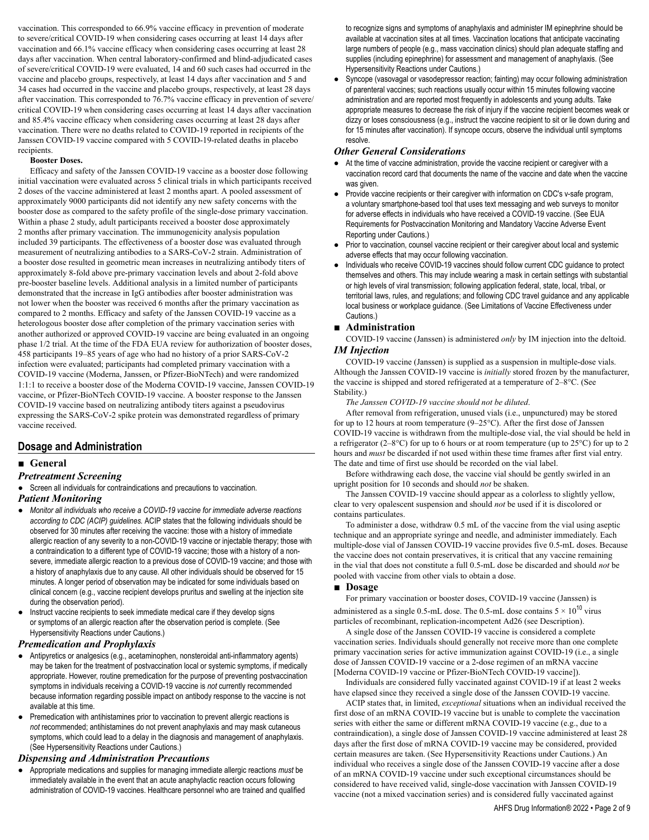vaccination. This corresponded to 66.9% vaccine efficacy in prevention of moderate to severe/critical COVID-19 when considering cases occurring at least 14 days after vaccination and 66.1% vaccine efficacy when considering cases occurring at least 28 days after vaccination. When central laboratory-confirmed and blind-adjudicated cases of severe/critical COVID-19 were evaluated, 14 and 60 such cases had occurred in the vaccine and placebo groups, respectively, at least 14 days after vaccination and 5 and 34 cases had occurred in the vaccine and placebo groups, respectively, at least 28 days after vaccination. This corresponded to 76.7% vaccine efficacy in prevention of severe/ critical COVID-19 when considering cases occurring at least 14 days after vaccination and 85.4% vaccine efficacy when considering cases occurring at least 28 days after vaccination. There were no deaths related to COVID-19 reported in recipients of the Janssen COVID-19 vaccine compared with 5 COVID-19-related deaths in placebo recipients.

### **Booster Doses.**

Efficacy and safety of the Janssen COVID-19 vaccine as a booster dose following initial vaccination were evaluated across 5 clinical trials in which participants received 2 doses of the vaccine administered at least 2 months apart. A pooled assessment of approximately 9000 participants did not identify any new safety concerns with the booster dose as compared to the safety profile of the single-dose primary vaccination. Within a phase 2 study, adult participants received a booster dose approximately 2 months after primary vaccination. The immunogenicity analysis population included 39 participants. The effectiveness of a booster dose was evaluated through measurement of neutralizing antibodies to a SARS-CoV-2 strain. Administration of a booster dose resulted in geometric mean increases in neutralizing antibody titers of approximately 8-fold above pre-primary vaccination levels and about 2-fold above pre-booster baseline levels. Additional analysis in a limited number of participants demonstrated that the increase in IgG antibodies after booster administration was not lower when the booster was received 6 months after the primary vaccination as compared to 2 months. Efficacy and safety of the Janssen COVID-19 vaccine as a heterologous booster dose after completion of the primary vaccination series with another authorized or approved COVID-19 vaccine are being evaluated in an ongoing phase 1/2 trial. At the time of the FDA EUA review for authorization of booster doses, 458 participants 19–85 years of age who had no history of a prior SARS-CoV-2 infection were evaluated; participants had completed primary vaccination with a COVID-19 vaccine (Moderna, Janssen, or Pfizer-BioNTech) and were randomized 1:1:1 to receive a booster dose of the Moderna COVID-19 vaccine, Janssen COVID-19 vaccine, or Pfizer-BioNTech COVID-19 vaccine. A booster response to the Janssen COVID-19 vaccine based on neutralizing antibody titers against a pseudovirus expressing the SARS-CoV-2 spike protein was demonstrated regardless of primary vaccine received.

# **Dosage and Administration**

### **■ General**

### *Pretreatment Screening*

● Screen all individuals for contraindications and precautions to vaccination. *Patient Monitoring*

- *Monitor all individuals who receive a COVID-19 vaccine for immediate adverse reactions according to CDC (ACIP) guidelines.* ACIP states that the following individuals should be observed for 30 minutes after receiving the vaccine: those with a history of immediate allergic reaction of any severity to a non-COVID-19 vaccine or injectable therapy; those with a contraindication to a different type of COVID-19 vaccine; those with a history of a nonsevere, immediate allergic reaction to a previous dose of COVID-19 vaccine; and those with a history of anaphylaxis due to any cause. All other individuals should be observed for 15 minutes. A longer period of observation may be indicated for some individuals based on clinical concern (e.g., vaccine recipient develops pruritus and swelling at the injection site during the observation period).
- Instruct vaccine recipients to seek immediate medical care if they develop signs or symptoms of an allergic reaction after the observation period is complete. (See Hypersensitivity Reactions under Cautions.)

### *Premedication and Prophylaxis*

- Antipyretics or analgesics (e.g., acetaminophen, nonsteroidal anti-inflammatory agents) may be taken for the treatment of postvaccination local or systemic symptoms, if medically appropriate. However, routine premedication for the purpose of preventing postvaccination symptoms in individuals receiving a COVID-19 vaccine is *not* currently recommended because information regarding possible impact on antibody response to the vaccine is not available at this time.
- Premedication with antihistamines prior to vaccination to prevent allergic reactions is *not* recommended; antihistamines do not prevent anaphylaxis and may mask cutaneous symptoms, which could lead to a delay in the diagnosis and management of anaphylaxis. (See Hypersensitivity Reactions under Cautions.)

# *Dispensing and Administration Precautions*

● Appropriate medications and supplies for managing immediate allergic reactions *must* be immediately available in the event that an acute anaphylactic reaction occurs following administration of COVID-19 vaccines. Healthcare personnel who are trained and qualified

to recognize signs and symptoms of anaphylaxis and administer IM epinephrine should be available at vaccination sites at all times. Vaccination locations that anticipate vaccinating large numbers of people (e.g., mass vaccination clinics) should plan adequate staffing and supplies (including epinephrine) for assessment and management of anaphylaxis. (See Hypersensitivity Reactions under Cautions.)

Syncope (vasovagal or vasodepressor reaction; fainting) may occur following administration of parenteral vaccines; such reactions usually occur within 15 minutes following vaccine administration and are reported most frequently in adolescents and young adults. Take appropriate measures to decrease the risk of injury if the vaccine recipient becomes weak or dizzy or loses consciousness (e.g., instruct the vaccine recipient to sit or lie down during and for 15 minutes after vaccination). If syncope occurs, observe the individual until symptoms resolve.

# *Other General Considerations*

- At the time of vaccine administration, provide the vaccine recipient or caregiver with a vaccination record card that documents the name of the vaccine and date when the vaccine was given.
- Provide vaccine recipients or their caregiver with information on CDC's v-safe program, a voluntary smartphone-based tool that uses text messaging and web surveys to monitor for adverse effects in individuals who have received a COVID-19 vaccine. (See EUA Requirements for Postvaccination Monitoring and Mandatory Vaccine Adverse Event Reporting under Cautions.)
- Prior to vaccination, counsel vaccine recipient or their caregiver about local and systemic adverse effects that may occur following vaccination.
- Individuals who receive COVID-19 vaccines should follow current CDC guidance to protect themselves and others. This may include wearing a mask in certain settings with substantial or high levels of viral transmission; following application federal, state, local, tribal, or territorial laws, rules, and regulations; and following CDC travel guidance and any applicable local business or workplace guidance. (See Limitations of Vaccine Effectiveness under Cautions.)

### **■ Administration**

COVID-19 vaccine (Janssen) is administered *only* by IM injection into the deltoid. *IM Injection*

COVID-19 vaccine (Janssen) is supplied as a suspension in multiple-dose vials. Although the Janssen COVID-19 vaccine is *initially* stored frozen by the manufacturer, the vaccine is shipped and stored refrigerated at a temperature of 2–8°C. (See Stability.)

*The Janssen COVID-19 vaccine should not be diluted*.

After removal from refrigeration, unused vials (i.e., unpunctured) may be stored for up to 12 hours at room temperature (9–25°C). After the first dose of Janssen COVID-19 vaccine is withdrawn from the multiple-dose vial, the vial should be held in a refrigerator (2–8°C) for up to 6 hours or at room temperature (up to 25°C) for up to 2 hours and *must* be discarded if not used within these time frames after first vial entry. The date and time of first use should be recorded on the vial label.

Before withdrawing each dose, the vaccine vial should be gently swirled in an upright position for 10 seconds and should *not* be shaken.

The Janssen COVID-19 vaccine should appear as a colorless to slightly yellow, clear to very opalescent suspension and should *not* be used if it is discolored or contains particulates.

To administer a dose, withdraw 0.5 mL of the vaccine from the vial using aseptic technique and an appropriate syringe and needle, and administer immediately. Each multiple-dose vial of Janssen COVID-19 vaccine provides five 0.5-mL doses. Because the vaccine does not contain preservatives, it is critical that any vaccine remaining in the vial that does not constitute a full 0.5-mL dose be discarded and should *not* be pooled with vaccine from other vials to obtain a dose.

### **■ Dosage**

For primary vaccination or booster doses, COVID-19 vaccine (Janssen) is administered as a single 0.5-mL dose. The 0.5-mL dose contains  $5 \times 10^{10}$  virus particles of recombinant, replication-incompetent Ad26 (see Description).

A single dose of the Janssen COVID-19 vaccine is considered a complete vaccination series. Individuals should generally not receive more than one complete primary vaccination series for active immunization against COVID-19 (i.e., a single dose of Janssen COVID-19 vaccine or a 2-dose regimen of an mRNA vaccine [Moderna COVID-19 vaccine or Pfizer-BioNTech COVID-19 vaccine]).

Individuals are considered fully vaccinated against COVID-19 if at least 2 weeks have elapsed since they received a single dose of the Janssen COVID-19 vaccine.

ACIP states that, in limited, *exceptional* situations when an individual received the first dose of an mRNA COVID-19 vaccine but is unable to complete the vaccination series with either the same or different mRNA COVID-19 vaccine (e.g., due to a contraindication), a single dose of Janssen COVID-19 vaccine administered at least 28 days after the first dose of mRNA COVID-19 vaccine may be considered, provided certain measures are taken. (See Hypersensitivity Reactions under Cautions.) An individual who receives a single dose of the Janssen COVID-19 vaccine after a dose of an mRNA COVID-19 vaccine under such exceptional circumstances should be considered to have received valid, single-dose vaccination with Janssen COVID-19 vaccine (not a mixed vaccination series) and is considered fully vaccinated against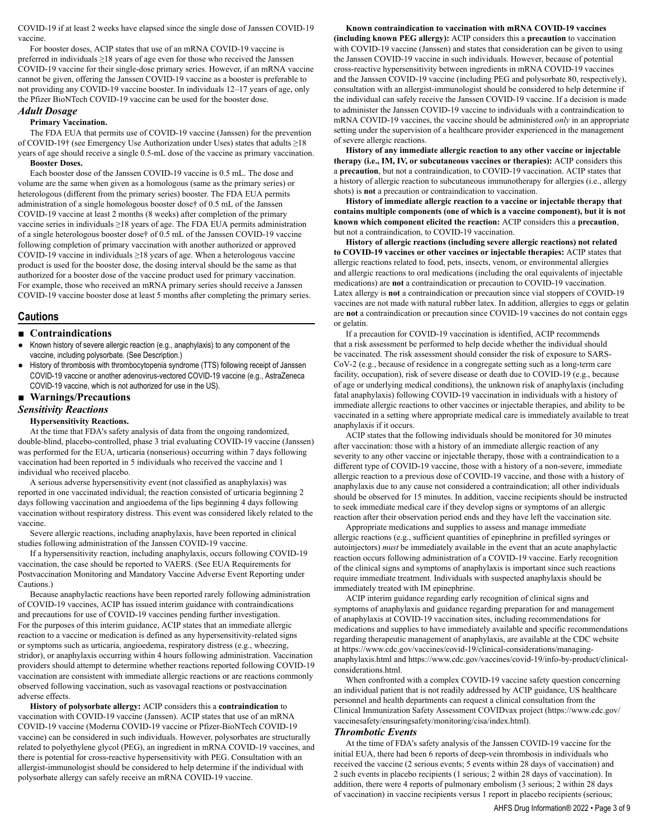COVID-19 if at least 2 weeks have elapsed since the single dose of Janssen COVID-19 vaccine.

For booster doses, ACIP states that use of an mRNA COVID-19 vaccine is preferred in individuals ≥18 years of age even for those who received the Janssen COVID-19 vaccine for their single-dose primary series. However, if an mRNA vaccine cannot be given, offering the Janssen COVID-19 vaccine as a booster is preferable to not providing any COVID-19 vaccine booster. In individuals 12–17 years of age, only the Pfizer BioNTech COVID-19 vaccine can be used for the booster dose.

# *Adult Dosage*

# **Primary Vaccination.**

The FDA EUA that permits use of COVID-19 vaccine (Janssen) for the prevention of COVID-19† (see Emergency Use Authorization under Uses) states that adults ≥18 years of age should receive a single 0.5-mL dose of the vaccine as primary vaccination. **Booster Doses.**

Each booster dose of the Janssen COVID-19 vaccine is 0.5 mL. The dose and volume are the same when given as a homologous (same as the primary series) or heterologous (different from the primary series) booster. The FDA EUA permits administration of a single homologous booster dose† of 0.5 mL of the Janssen COVID-19 vaccine at least 2 months (8 weeks) after completion of the primary vaccine series in individuals  $\geq$ 18 years of age. The FDA EUA permits administration of a single heterologous booster dose† of 0.5 mL of the Janssen COVID-19 vaccine following completion of primary vaccination with another authorized or approved COVID-19 vaccine in individuals  $\geq$ 18 years of age. When a heterologous vaccine product is used for the booster dose, the dosing interval should be the same as that authorized for a booster dose of the vaccine product used for primary vaccination. For example, those who received an mRNA primary series should receive a Janssen COVID-19 vaccine booster dose at least 5 months after completing the primary series.

### **Cautions**

### **■ Contraindications**

- Known history of severe allergic reaction (e.g., anaphylaxis) to any component of the vaccine, including polysorbate. (See Description.)
- History of thrombosis with thrombocytopenia syndrome (TTS) following receipt of Janssen COVID-19 vaccine or another adenovirus-vectored COVID-19 vaccine (e.g., AstraZeneca COVID-19 vaccine, which is not authorized for use in the US).

### **■ Warnings/Precautions**

### *Sensitivity Reactions*

#### **Hypersensitivity Reactions.**

At the time that FDA's safety analysis of data from the ongoing randomized, double-blind, placebo-controlled, phase 3 trial evaluating COVID-19 vaccine (Janssen) was performed for the EUA, urticaria (nonserious) occurring within 7 days following vaccination had been reported in 5 individuals who received the vaccine and 1 individual who received placebo.

A serious adverse hypersensitivity event (not classified as anaphylaxis) was reported in one vaccinated individual; the reaction consisted of urticaria beginning 2 days following vaccination and angioedema of the lips beginning 4 days following vaccination without respiratory distress. This event was considered likely related to the vaccine.

Severe allergic reactions, including anaphylaxis, have been reported in clinical studies following administration of the Janssen COVID-19 vaccine.

If a hypersensitivity reaction, including anaphylaxis, occurs following COVID-19 vaccination, the case should be reported to VAERS. (See EUA Requirements for Postvaccination Monitoring and Mandatory Vaccine Adverse Event Reporting under Cautions.)

Because anaphylactic reactions have been reported rarely following administration of COVID-19 vaccines, ACIP has issued interim guidance with contraindications and precautions for use of COVID-19 vaccines pending further investigation. For the purposes of this interim guidance, ACIP states that an immediate allergic reaction to a vaccine or medication is defined as any hypersensitivity-related signs or symptoms such as urticaria, angioedema, respiratory distress (e.g., wheezing, stridor), or anaphylaxis occurring within 4 hours following administration. Vaccination providers should attempt to determine whether reactions reported following COVID-19 vaccination are consistent with immediate allergic reactions or are reactions commonly observed following vaccination, such as vasovagal reactions or postvaccination adverse effects.

**History of polysorbate allergy:** ACIP considers this a **contraindication** to vaccination with COVID-19 vaccine (Janssen). ACIP states that use of an mRNA COVID-19 vaccine (Moderna COVID-19 vaccine or Pfizer-BioNTech COVID-19 vaccine) can be considered in such individuals. However, polysorbates are structurally related to polyethylene glycol (PEG), an ingredient in mRNA COVID-19 vaccines, and there is potential for cross-reactive hypersensitivity with PEG. Consultation with an allergist-immunologist should be considered to help determine if the individual with polysorbate allergy can safely receive an mRNA COVID-19 vaccine.

# **Known contraindication to vaccination with mRNA COVID-19 vaccines**

**(including known PEG allergy):** ACIP considers this a **precaution** to vaccination with COVID-19 vaccine (Janssen) and states that consideration can be given to using the Janssen COVID-19 vaccine in such individuals. However, because of potential cross-reactive hypersensitivity between ingredients in mRNA COVID-19 vaccines and the Janssen COVID-19 vaccine (including PEG and polysorbate 80, respectively), consultation with an allergist-immunologist should be considered to help determine if the individual can safely receive the Janssen COVID-19 vaccine. If a decision is made to administer the Janssen COVID-19 vaccine to individuals with a contraindication to mRNA COVID-19 vaccines, the vaccine should be administered *only* in an appropriate setting under the supervision of a healthcare provider experienced in the management of severe allergic reactions.

**History of any immediate allergic reaction to any other vaccine or injectable therapy (i.e., IM, IV, or subcutaneous vaccines or therapies):** ACIP considers this a **precaution**, but not a contraindication, to COVID-19 vaccination. ACIP states that a history of allergic reaction to subcutaneous immunotherapy for allergies (i.e., allergy shots) is **not** a precaution or contraindication to vaccination.

**History of immediate allergic reaction to a vaccine or injectable therapy that contains multiple components (one of which is a vaccine component), but it is not known which component elicited the reaction:** ACIP considers this a **precaution**, but not a contraindication, to COVID-19 vaccination.

**History of allergic reactions (including severe allergic reactions) not related to COVID-19 vaccines or other vaccines or injectable therapies:** ACIP states that allergic reactions related to food, pets, insects, venom, or environmental allergies and allergic reactions to oral medications (including the oral equivalents of injectable medications) are **not** a contraindication or precaution to COVID-19 vaccination. Latex allergy is **not** a contraindication or precaution since vial stoppers of COVID-19 vaccines are not made with natural rubber latex. In addition, allergies to eggs or gelatin are **not** a contraindication or precaution since COVID-19 vaccines do not contain eggs or gelatin.

If a precaution for COVID-19 vaccination is identified, ACIP recommends that a risk assessment be performed to help decide whether the individual should be vaccinated. The risk assessment should consider the risk of exposure to SARS-CoV-2 (e.g., because of residence in a congregate setting such as a long-term care facility, occupation), risk of severe disease or death due to COVID-19 (e.g., because of age or underlying medical conditions), the unknown risk of anaphylaxis (including fatal anaphylaxis) following COVID-19 vaccination in individuals with a history of immediate allergic reactions to other vaccines or injectable therapies, and ability to be vaccinated in a setting where appropriate medical care is immediately available to treat anaphylaxis if it occurs.

ACIP states that the following individuals should be monitored for 30 minutes after vaccination: those with a history of an immediate allergic reaction of any severity to any other vaccine or injectable therapy, those with a contraindication to a different type of COVID-19 vaccine, those with a history of a non-severe, immediate allergic reaction to a previous dose of COVID-19 vaccine, and those with a history of anaphylaxis due to any cause not considered a contraindication; all other individuals should be observed for 15 minutes. In addition, vaccine recipients should be instructed to seek immediate medical care if they develop signs or symptoms of an allergic reaction after their observation period ends and they have left the vaccination site.

Appropriate medications and supplies to assess and manage immediate allergic reactions (e.g., sufficient quantities of epinephrine in prefilled syringes or autoinjectors) *must* be immediately available in the event that an acute anaphylactic reaction occurs following administration of a COVID-19 vaccine. Early recognition of the clinical signs and symptoms of anaphylaxis is important since such reactions require immediate treatment. Individuals with suspected anaphylaxis should be immediately treated with IM epinephrine.

ACIP interim guidance regarding early recognition of clinical signs and symptoms of anaphylaxis and guidance regarding preparation for and management of anaphylaxis at COVID-19 vaccination sites, including recommendations for medications and supplies to have immediately available and specific recommendations regarding therapeutic management of anaphylaxis, are available at the CDC website at https://www.cdc.gov/vaccines/covid-19/clinical-considerations/managinganaphylaxis.html and https://www.cdc.gov/vaccines/covid-19/info-by-product/clinicalconsiderations.html.

When confronted with a complex COVID-19 vaccine safety question concerning an individual patient that is not readily addressed by ACIP guidance, US healthcare personnel and health departments can request a clinical consultation from the Clinical Immunization Safety Assessment COVIDvax project (https://www.cdc.gov/ vaccinesafety/ensuringsafety/monitoring/cisa/index.html).

### *Thrombotic Events*

At the time of FDA's safety analysis of the Janssen COVID-19 vaccine for the initial EUA, there had been 6 reports of deep-vein thrombosis in individuals who received the vaccine (2 serious events; 5 events within 28 days of vaccination) and 2 such events in placebo recipients (1 serious; 2 within 28 days of vaccination). In addition, there were 4 reports of pulmonary embolism (3 serious; 2 within 28 days of vaccination) in vaccine recipients versus 1 report in placebo recipients (serious;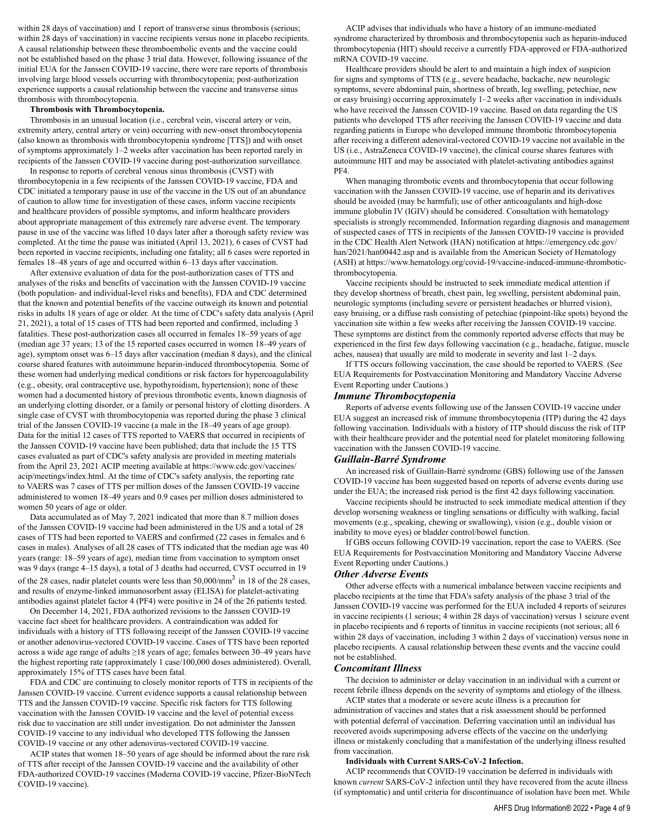within 28 days of vaccination) and 1 report of transverse sinus thrombosis (serious; within 28 days of vaccination) in vaccine recipients versus none in placebo recipients. A causal relationship between these thromboembolic events and the vaccine could not be established based on the phase 3 trial data. However, following issuance of the initial EUA for the Janssen COVID-19 vaccine, there were rare reports of thrombosis involving large blood vessels occurring with thrombocytopenia; post-authorization experience supports a causal relationship between the vaccine and transverse sinus thrombosis with thrombocytopenia.

### **Thrombosis with Thrombocytopenia.**

Thrombosis in an unusual location (i.e., cerebral vein, visceral artery or vein, extremity artery, central artery or vein) occurring with new-onset thrombocytopenia (also known as thrombosis with thrombocytopenia syndrome [TTS]) and with onset of symptoms approximately 1–2 weeks after vaccination has been reported rarely in recipients of the Janssen COVID-19 vaccine during post-authorization surveillance.

In response to reports of cerebral venous sinus thrombosis (CVST) with thrombocytopenia in a few recipients of the Janssen COVID-19 vaccine, FDA and CDC initiated a temporary pause in use of the vaccine in the US out of an abundance of caution to allow time for investigation of these cases, inform vaccine recipients and healthcare providers of possible symptoms, and inform healthcare providers about appropriate management of this extremely rare adverse event. The temporary pause in use of the vaccine was lifted 10 days later after a thorough safety review was completed. At the time the pause was initiated (April 13, 2021), 6 cases of CVST had been reported in vaccine recipients, including one fatality; all 6 cases were reported in females 18–48 years of age and occurred within 6–13 days after vaccination.

After extensive evaluation of data for the post-authorization cases of TTS and analyses of the risks and benefits of vaccination with the Janssen COVID-19 vaccine (both population- and individual-level risks and benefits), FDA and CDC determined that the known and potential benefits of the vaccine outweigh its known and potential risks in adults 18 years of age or older. At the time of CDC's safety data analysis (April 21, 2021), a total of 15 cases of TTS had been reported and confirmed, including 3 fatalities. These post-authorization cases all occurred in females 18–59 years of age (median age 37 years; 13 of the 15 reported cases occurred in women 18–49 years of age), symptom onset was 6–15 days after vaccination (median 8 days), and the clinical course shared features with autoimmune heparin-induced thrombocytopenia. Some of these women had underlying medical conditions or risk factors for hypercoagulability (e.g., obesity, oral contraceptive use, hypothyroidism, hypertension); none of these women had a documented history of previous thrombotic events, known diagnosis of an underlying clotting disorder, or a family or personal history of clotting disorders. A single case of CVST with thrombocytopenia was reported during the phase 3 clinical trial of the Janssen COVID-19 vaccine (a male in the 18–49 years of age group). Data for the initial 12 cases of TTS reported to VAERS that occurred in recipients of the Janssen COVID-19 vaccine have been published; data that include the 15 TTS cases evaluated as part of CDC's safety analysis are provided in meeting materials from the April 23, 2021 ACIP meeting available at https://www.cdc.gov/vaccines/ acip/meetings/index.html. At the time of CDC's safety analysis, the reporting rate to VAERS was 7 cases of TTS per million doses of the Janssen COVID-19 vaccine administered to women 18–49 years and 0.9 cases per million doses administered to women 50 years of age or older.

Data accumulated as of May 7, 2021 indicated that more than 8.7 million doses of the Janssen COVID-19 vaccine had been administered in the US and a total of 28 cases of TTS had been reported to VAERS and confirmed (22 cases in females and 6 cases in males). Analyses of all 28 cases of TTS indicated that the median age was 40 years (range: 18–59 years of age), median time from vaccination to symptom onset was 9 days (range 4–15 days), a total of 3 deaths had occurred, CVST occurred in 19 of the 28 cases, nadir platelet counts were less than 50,000/mm3 in 18 of the 28 cases, and results of enzyme-linked immunosorbent assay (ELISA) for platelet-activating antibodies against platelet factor 4 (PF4) were positive in 24 of the 26 patients tested.

On December 14, 2021, FDA authorized revisions to the Janssen COVID-19 vaccine fact sheet for healthcare providers. A contraindication was added for individuals with a history of TTS following receipt of the Janssen COVID-19 vaccine or another adenovirus-vectored COVID-19 vaccine. Cases of TTS have been reported across a wide age range of adults ≥18 years of age; females between 30–49 years have the highest reporting rate (approximately 1 case/100,000 doses administered). Overall, approximately 15% of TTS cases have been fatal.

FDA and CDC are continuing to closely monitor reports of TTS in recipients of the Janssen COVID-19 vaccine. Current evidence supports a causal relationship between TTS and the Janssen COVID-19 vaccine. Specific risk factors for TTS following vaccination with the Janssen COVID-19 vaccine and the level of potential excess risk due to vaccination are still under investigation. Do not administer the Janssen COVID-19 vaccine to any individual who developed TTS following the Janssen COVID-19 vaccine or any other adenovirus-vectored COVID-19 vaccine.

ACIP states that women 18–50 years of age should be informed about the rare risk of TTS after receipt of the Janssen COVID-19 vaccine and the availability of other FDA-authorized COVID-19 vaccines (Moderna COVID-19 vaccine, Pfizer-BioNTech COVID-19 vaccine).

ACIP advises that individuals who have a history of an immune-mediated syndrome characterized by thrombosis and thrombocytopenia such as heparin-induced thrombocytopenia (HIT) should receive a currently FDA-approved or FDA-authorized mRNA COVID-19 vaccine.

Healthcare providers should be alert to and maintain a high index of suspicion for signs and symptoms of TTS (e.g., severe headache, backache, new neurologic symptoms, severe abdominal pain, shortness of breath, leg swelling, petechiae, new or easy bruising) occurring approximately 1–2 weeks after vaccination in individuals who have received the Janssen COVID-19 vaccine. Based on data regarding the US patients who developed TTS after receiving the Janssen COVID-19 vaccine and data regarding patients in Europe who developed immune thrombotic thrombocytopenia after receiving a different adenoviral-vectored COVID-19 vaccine not available in the US (i.e., AstraZeneca COVID-19 vaccine), the clinical course shares features with autoimmune HIT and may be associated with platelet-activating antibodies against PF4.

When managing thrombotic events and thrombocytopenia that occur following vaccination with the Janssen COVID-19 vaccine, use of heparin and its derivatives should be avoided (may be harmful); use of other anticoagulants and high-dose immune globulin IV (IGIV) should be considered. Consultation with hematology specialists is strongly recommended. Information regarding diagnosis and management of suspected cases of TTS in recipients of the Janssen COVID-19 vaccine is provided in the CDC Health Alert Network (HAN) notification at https://emergency.cdc.gov/ han/2021/han00442.asp and is available from the American Society of Hematology (ASH) at https://www.hematology.org/covid-19/vaccine-induced-immune-thromboticthrombocytopenia.

Vaccine recipients should be instructed to seek immediate medical attention if they develop shortness of breath, chest pain, leg swelling, persistent abdominal pain, neurologic symptoms (including severe or persistent headaches or blurred vision), easy bruising, or a diffuse rash consisting of petechiae (pinpoint-like spots) beyond the vaccination site within a few weeks after receiving the Janssen COVID-19 vaccine. These symptoms are distinct from the commonly reported adverse effects that may be experienced in the first few days following vaccination (e.g., headache, fatigue, muscle aches, nausea) that usually are mild to moderate in severity and last 1–2 days.

If TTS occurs following vaccination, the case should be reported to VAERS. (See EUA Requirements for Postvaccination Monitoring and Mandatory Vaccine Adverse Event Reporting under Cautions.)

### *Immune Thrombocytopenia*

Reports of adverse events following use of the Janssen COVID-19 vaccine under EUA suggest an increased risk of immune thrombocytopenia (ITP) during the 42 days following vaccination. Individuals with a history of ITP should discuss the risk of ITP with their healthcare provider and the potential need for platelet monitoring following vaccination with the Janssen COVID-19 vaccine.

# *Guillain-Barré Syndrome*

An increased risk of Guillain-Barré syndrome (GBS) following use of the Janssen COVID-19 vaccine has been suggested based on reports of adverse events during use under the EUA; the increased risk period is the first 42 days following vaccination.

Vaccine recipients should be instructed to seek immediate medical attention if they develop worsening weakness or tingling sensations or difficulty with walking, facial movements (e.g., speaking, chewing or swallowing), vision (e.g., double vision or inability to move eyes) or bladder control/bowel function.

If GBS occurs following COVID-19 vaccination, report the case to VAERS. (See EUA Requirements for Postvaccination Monitoring and Mandatory Vaccine Adverse Event Reporting under Cautions.)

#### *Other Adverse Events*

Other adverse effects with a numerical imbalance between vaccine recipients and placebo recipients at the time that FDA's safety analysis of the phase 3 trial of the Janssen COVID-19 vaccine was performed for the EUA included 4 reports of seizures in vaccine recipients (1 serious; 4 within 28 days of vaccination) versus 1 seizure event in placebo recipients and 6 reports of tinnitus in vaccine recipients (not serious; all 6 within 28 days of vaccination, including 3 within 2 days of vaccination) versus none in placebo recipients. A causal relationship between these events and the vaccine could not be established.

### *Concomitant Illness*

The decision to administer or delay vaccination in an individual with a current or recent febrile illness depends on the severity of symptoms and etiology of the illness.

ACIP states that a moderate or severe acute illness is a precaution for administration of vaccines and states that a risk assessment should be performed with potential deferral of vaccination. Deferring vaccination until an individual has recovered avoids superimposing adverse effects of the vaccine on the underlying illness or mistakenly concluding that a manifestation of the underlying illness resulted from vaccination.

#### **Individuals with Current SARS-CoV-2 Infection.**

ACIP recommends that COVID-19 vaccination be deferred in individuals with known *current* SARS-CoV-2 infection until they have recovered from the acute illness (if symptomatic) and until criteria for discontinuance of isolation have been met. While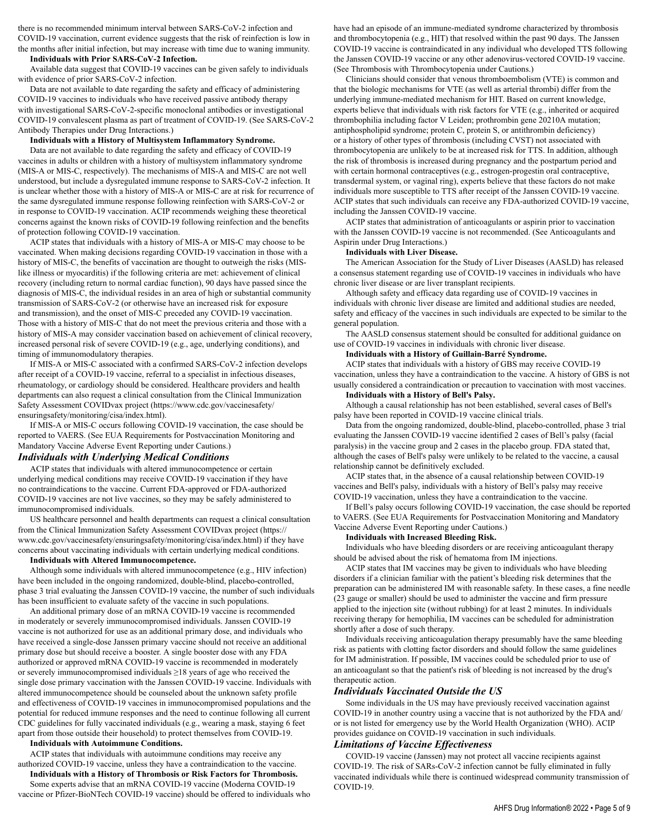there is no recommended minimum interval between SARS-CoV-2 infection and COVID-19 vaccination, current evidence suggests that the risk of reinfection is low in the months after initial infection, but may increase with time due to waning immunity.

#### **Individuals with Prior SARS-CoV-2 Infection.**

Available data suggest that COVID-19 vaccines can be given safely to individuals with evidence of prior SARS-CoV-2 infection.

Data are not available to date regarding the safety and efficacy of administering COVID-19 vaccines to individuals who have received passive antibody therapy with investigational SARS-CoV-2-specific monoclonal antibodies or investigational COVID-19 convalescent plasma as part of treatment of COVID-19. (See SARS-CoV-2 Antibody Therapies under Drug Interactions.)

### **Individuals with a History of Multisystem Inflammatory Syndrome.**

Data are not available to date regarding the safety and efficacy of COVID-19 vaccines in adults or children with a history of multisystem inflammatory syndrome (MIS-A or MIS-C, respectively). The mechanisms of MIS-A and MIS-C are not well understood, but include a dysregulated immune response to SARS-CoV-2 infection. It is unclear whether those with a history of MIS-A or MIS-C are at risk for recurrence of the same dysregulated immune response following reinfection with SARS-CoV-2 or in response to COVID-19 vaccination. ACIP recommends weighing these theoretical concerns against the known risks of COVID-19 following reinfection and the benefits of protection following COVID-19 vaccination.

ACIP states that individuals with a history of MIS-A or MIS-C may choose to be vaccinated. When making decisions regarding COVID-19 vaccination in those with a history of MIS-C, the benefits of vaccination are thought to outweigh the risks (MISlike illness or myocarditis) if the following criteria are met: achievement of clinical recovery (including return to normal cardiac function), 90 days have passed since the diagnosis of MIS-C, the individual resides in an area of high or substantial community transmission of SARS-CoV-2 (or otherwise have an increased risk for exposure and transmission), and the onset of MIS-C preceded any COVID-19 vaccination. Those with a history of MIS-C that do not meet the previous criteria and those with a history of MIS-A may consider vaccination based on achievement of clinical recovery, increased personal risk of severe COVID-19 (e.g., age, underlying conditions), and timing of immunomodulatory therapies.

If MIS-A or MIS-C associated with a confirmed SARS-CoV-2 infection develops after receipt of a COVID-19 vaccine, referral to a specialist in infectious diseases, rheumatology, or cardiology should be considered. Healthcare providers and health departments can also request a clinical consultation from the Clinical Immunization Safety Assessment COVIDvax project (https://www.cdc.gov/vaccinesafety/ ensuringsafety/monitoring/cisa/index.html).

If MIS-A or MIS-C occurs following COVID-19 vaccination, the case should be reported to VAERS. (See EUA Requirements for Postvaccination Monitoring and Mandatory Vaccine Adverse Event Reporting under Cautions.)

# *Individuals with Underlying Medical Conditions*

ACIP states that individuals with altered immunocompetence or certain underlying medical conditions may receive COVID-19 vaccination if they have no contraindications to the vaccine. Current FDA-approved or FDA-authorized COVID-19 vaccines are not live vaccines, so they may be safely administered to immunocompromised individuals.

US healthcare personnel and health departments can request a clinical consultation from the Clinical Immunization Safety Assessment COVIDvax project (https:// www.cdc.gov/vaccinesafety/ensuringsafety/monitoring/cisa/index.html) if they have concerns about vaccinating individuals with certain underlying medical conditions.

# **Individuals with Altered Immunocompetence.**

Although some individuals with altered immunocompetence (e.g., HIV infection) have been included in the ongoing randomized, double-blind, placebo-controlled, phase 3 trial evaluating the Janssen COVID-19 vaccine, the number of such individuals has been insufficient to evaluate safety of the vaccine in such populations.

An additional primary dose of an mRNA COVID-19 vaccine is recommended in moderately or severely immunocompromised individuals. Janssen COVID-19 vaccine is not authorized for use as an additional primary dose, and individuals who have received a single-dose Janssen primary vaccine should not receive an additional primary dose but should receive a booster. A single booster dose with any FDA authorized or approved mRNA COVID-19 vaccine is recommended in moderately or severely immunocompromised individuals ≥18 years of age who received the single dose primary vaccination with the Janssen COVID-19 vaccine. Individuals with altered immunocompetence should be counseled about the unknown safety profile and effectiveness of COVID-19 vaccines in immunocompromised populations and the potential for reduced immune responses and the need to continue following all current CDC guidelines for fully vaccinated individuals (e.g., wearing a mask, staying 6 feet apart from those outside their household) to protect themselves from COVID-19.

### **Individuals with Autoimmune Conditions.**

ACIP states that individuals with autoimmune conditions may receive any authorized COVID-19 vaccine, unless they have a contraindication to the vaccine. **Individuals with a History of Thrombosis or Risk Factors for Thrombosis.**

Some experts advise that an mRNA COVID-19 vaccine (Moderna COVID-19 vaccine or Pfizer-BioNTech COVID-19 vaccine) should be offered to individuals who have had an episode of an immune-mediated syndrome characterized by thrombosis and thrombocytopenia (e.g., HIT) that resolved within the past 90 days. The Janssen COVID-19 vaccine is contraindicated in any individual who developed TTS following the Janssen COVID-19 vaccine or any other adenovirus-vectored COVID-19 vaccine. (See Thrombosis with Thrombocytopenia under Cautions.)

Clinicians should consider that venous thromboembolism (VTE) is common and that the biologic mechanisms for VTE (as well as arterial thrombi) differ from the underlying immune-mediated mechanism for HIT. Based on current knowledge, experts believe that individuals with risk factors for VTE (e.g., inherited or acquired thrombophilia including factor V Leiden; prothrombin gene 20210A mutation; antiphospholipid syndrome; protein C, protein S, or antithrombin deficiency) or a history of other types of thrombosis (including CVST) not associated with thrombocytopenia are unlikely to be at increased risk for TTS. In addition, although the risk of thrombosis is increased during pregnancy and the postpartum period and with certain hormonal contraceptives (e.g., estrogen-progestin oral contraceptive, transdermal system, or vaginal ring), experts believe that these factors do not make individuals more susceptible to TTS after receipt of the Janssen COVID-19 vaccine. ACIP states that such individuals can receive any FDA-authorized COVID-19 vaccine, including the Janssen COVID-19 vaccine.

ACIP states that administration of anticoagulants or aspirin prior to vaccination with the Janssen COVID-19 vaccine is not recommended. (See Anticoagulants and Aspirin under Drug Interactions.)

#### **Individuals with Liver Disease.**

The American Association for the Study of Liver Diseases (AASLD) has released a consensus statement regarding use of COVID-19 vaccines in individuals who have chronic liver disease or are liver transplant recipients.

Although safety and efficacy data regarding use of COVID-19 vaccines in individuals with chronic liver disease are limited and additional studies are needed, safety and efficacy of the vaccines in such individuals are expected to be similar to the general population.

The AASLD consensus statement should be consulted for additional guidance on use of COVID-19 vaccines in individuals with chronic liver disease.

#### **Individuals with a History of Guillain-Barré Syndrome.**

ACIP states that individuals with a history of GBS may receive COVID-19 vaccination, unless they have a contraindication to the vaccine. A history of GBS is not usually considered a contraindication or precaution to vaccination with most vaccines.

# **Individuals with a History of Bell's Palsy.**

Although a causal relationship has not been established, several cases of Bell's palsy have been reported in COVID-19 vaccine clinical trials.

Data from the ongoing randomized, double-blind, placebo-controlled, phase 3 trial evaluating the Janssen COVID-19 vaccine identified 2 cases of Bell's palsy (facial paralysis) in the vaccine group and 2 cases in the placebo group. FDA stated that, although the cases of Bell's palsy were unlikely to be related to the vaccine, a causal relationship cannot be definitively excluded.

ACIP states that, in the absence of a causal relationship between COVID-19 vaccines and Bell's palsy, individuals with a history of Bell's palsy may receive COVID-19 vaccination, unless they have a contraindication to the vaccine.

If Bell's palsy occurs following COVID-19 vaccination, the case should be reported to VAERS. (See EUA Requirements for Postvaccination Monitoring and Mandatory Vaccine Adverse Event Reporting under Cautions.)

#### **Individuals with Increased Bleeding Risk.**

Individuals who have bleeding disorders or are receiving anticoagulant therapy should be advised about the risk of hematoma from IM injections.

ACIP states that IM vaccines may be given to individuals who have bleeding disorders if a clinician familiar with the patient's bleeding risk determines that the preparation can be administered IM with reasonable safety. In these cases, a fine needle (23 gauge or smaller) should be used to administer the vaccine and firm pressure applied to the injection site (without rubbing) for at least 2 minutes. In individuals receiving therapy for hemophilia, IM vaccines can be scheduled for administration shortly after a dose of such therapy.

Individuals receiving anticoagulation therapy presumably have the same bleeding risk as patients with clotting factor disorders and should follow the same guidelines for IM administration. If possible, IM vaccines could be scheduled prior to use of an anticoagulant so that the patient's risk of bleeding is not increased by the drug's therapeutic action.

#### *Individuals Vaccinated Outside the US*

Some individuals in the US may have previously received vaccination against COVID-19 in another country using a vaccine that is not authorized by the FDA and/ or is not listed for emergency use by the World Health Organization (WHO). ACIP provides guidance on COVID-19 vaccination in such individuals.

### *Limitations of Vaccine Effectiveness*

COVID-19 vaccine (Janssen) may not protect all vaccine recipients against COVID-19. The risk of SARs-CoV-2 infection cannot be fully eliminated in fully vaccinated individuals while there is continued widespread community transmission of COVID-19.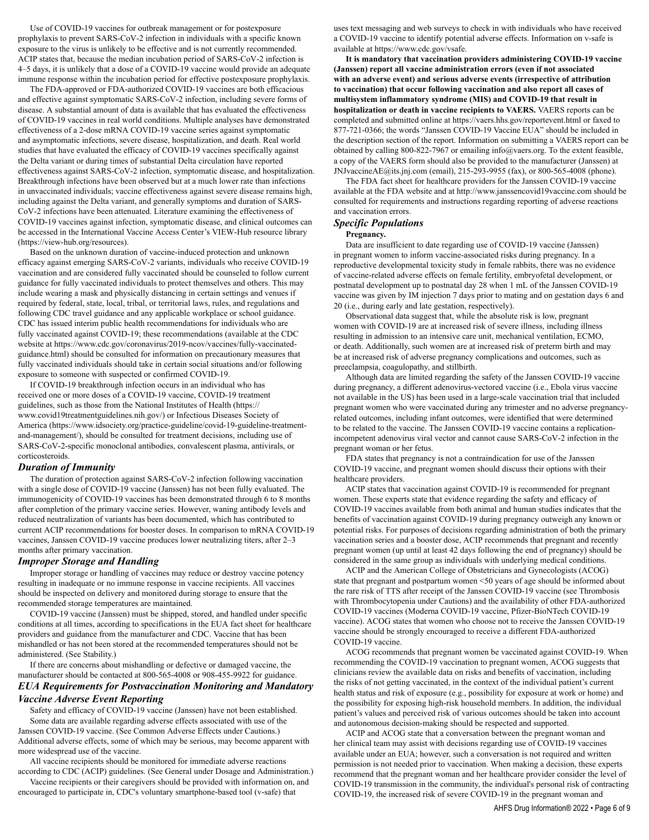Use of COVID-19 vaccines for outbreak management or for postexposure prophylaxis to prevent SARS-CoV-2 infection in individuals with a specific known exposure to the virus is unlikely to be effective and is not currently recommended. ACIP states that, because the median incubation period of SARS-CoV-2 infection is 4–5 days, it is unlikely that a dose of a COVID-19 vaccine would provide an adequate immune response within the incubation period for effective postexposure prophylaxis.

The FDA-approved or FDA-authorized COVID-19 vaccines are both efficacious and effective against symptomatic SARS-CoV-2 infection, including severe forms of disease. A substantial amount of data is available that has evaluated the effectiveness of COVID-19 vaccines in real world conditions. Multiple analyses have demonstrated effectiveness of a 2-dose mRNA COVID-19 vaccine series against symptomatic and asymptomatic infections, severe disease, hospitalization, and death. Real world studies that have evaluated the efficacy of COVID-19 vaccines specifically against the Delta variant or during times of substantial Delta circulation have reported effectiveness against SARS-CoV-2 infection, symptomatic disease, and hospitalization. Breakthrough infections have been observed but at a much lower rate than infections in unvaccinated individuals; vaccine effectiveness against severe disease remains high, including against the Delta variant, and generally symptoms and duration of SARS-CoV-2 infections have been attenuated. Literature examining the effectiveness of COVID-19 vaccines against infection, symptomatic disease, and clinical outcomes can be accessed in the International Vaccine Access Center's VIEW-Hub resource library (https://view-hub.org/resources).

Based on the unknown duration of vaccine-induced protection and unknown efficacy against emerging SARS-CoV-2 variants, individuals who receive COVID-19 vaccination and are considered fully vaccinated should be counseled to follow current guidance for fully vaccinated individuals to protect themselves and others. This may include wearing a mask and physically distancing in certain settings and venues if required by federal, state, local, tribal, or territorial laws, rules, and regulations and following CDC travel guidance and any applicable workplace or school guidance. CDC has issued interim public health recommendations for individuals who are fully vaccinated against COVID-19; these recommendations (available at the CDC website at https://www.cdc.gov/coronavirus/2019-ncov/vaccines/fully-vaccinatedguidance.html) should be consulted for information on precautionary measures that fully vaccinated individuals should take in certain social situations and/or following exposure to someone with suspected or confirmed COVID-19.

If COVID-19 breakthrough infection occurs in an individual who has received one or more doses of a COVID-19 vaccine, COVID-19 treatment guidelines, such as those from the National Institutes of Health (https:// www.covid19treatmentguidelines.nih.gov/) or Infectious Diseases Society of America (https://www.idsociety.org/practice-guideline/covid-19-guideline-treatmentand-management/), should be consulted for treatment decisions, including use of SARS-CoV-2-specific monoclonal antibodies, convalescent plasma, antivirals, or corticosteroids.

### *Duration of Immunity*

The duration of protection against SARS-CoV-2 infection following vaccination with a single dose of COVID-19 vaccine (Janssen) has not been fully evaluated. The immunogenicity of COVID-19 vaccines has been demonstrated through 6 to 8 months after completion of the primary vaccine series. However, waning antibody levels and reduced neutralization of variants has been documented, which has contributed to current ACIP recommendations for booster doses. In comparison to mRNA COVID-19 vaccines, Janssen COVID-19 vaccine produces lower neutralizing titers, after 2–3 months after primary vaccination.

### *Improper Storage and Handling*

Improper storage or handling of vaccines may reduce or destroy vaccine potency resulting in inadequate or no immune response in vaccine recipients. All vaccines should be inspected on delivery and monitored during storage to ensure that the recommended storage temperatures are maintained.

COVID-19 vaccine (Janssen) must be shipped, stored, and handled under specific conditions at all times, according to specifications in the EUA fact sheet for healthcare providers and guidance from the manufacturer and CDC. Vaccine that has been mishandled or has not been stored at the recommended temperatures should not be administered. (See Stability.)

# If there are concerns about mishandling or defective or damaged vaccine, the manufacturer should be contacted at 800-565-4008 or 908-455-9922 for guidance. *EUA Requirements for Postvaccination Monitoring and Mandatory Vaccine Adverse Event Reporting*

Safety and efficacy of COVID-19 vaccine (Janssen) have not been established. Some data are available regarding adverse effects associated with use of the Janssen COVID-19 vaccine. (See Common Adverse Effects under Cautions.) Additional adverse effects, some of which may be serious, may become apparent with more widespread use of the vaccine.

All vaccine recipients should be monitored for immediate adverse reactions according to CDC (ACIP) guidelines. (See General under Dosage and Administration.) Vaccine recipients or their caregivers should be provided with information on, and

encouraged to participate in, CDC's voluntary smartphone-based tool (v-safe) that

uses text messaging and web surveys to check in with individuals who have received a COVID-19 vaccine to identify potential adverse effects. Information on v-safe is available at https://www.cdc.gov/vsafe.

**It is mandatory that vaccination providers administering COVID-19 vaccine (Janssen) report all vaccine administration errors (even if not associated with an adverse event) and serious adverse events (irrespective of attribution to vaccination) that occur following vaccination and also report all cases of multisystem inflammatory syndrome (MIS) and COVID-19 that result in hospitalization or death in vaccine recipients to VAERS.** VAERS reports can be completed and submitted online at https://vaers.hhs.gov/reportevent.html or faxed to 877-721-0366; the words "Janssen COVID-19 Vaccine EUA" should be included in the description section of the report. Information on submitting a VAERS report can be obtained by calling 800-822-7967 or emailing info@vaers.org. To the extent feasible, a copy of the VAERS form should also be provided to the manufacturer (Janssen) at JNJvaccineAE@its.jnj.com (email), 215-293-9955 (fax), or 800-565-4008 (phone).

The FDA fact sheet for healthcare providers for the Janssen COVID-19 vaccine available at the FDA website and at http://www.janssencovid19vaccine.com should be consulted for requirements and instructions regarding reporting of adverse reactions and vaccination errors.

#### *Specific Populations*

#### **Pregnancy.**

Data are insufficient to date regarding use of COVID-19 vaccine (Janssen) in pregnant women to inform vaccine-associated risks during pregnancy. In a reproductive developmental toxicity study in female rabbits, there was no evidence of vaccine-related adverse effects on female fertility, embryofetal development, or postnatal development up to postnatal day 28 when 1 mL of the Janssen COVID-19 vaccine was given by IM injection 7 days prior to mating and on gestation days 6 and 20 (i.e., during early and late gestation, respectively).

Observational data suggest that, while the absolute risk is low, pregnant women with COVID-19 are at increased risk of severe illness, including illness resulting in admission to an intensive care unit, mechanical ventilation, ECMO, or death. Additionally, such women are at increased risk of preterm birth and may be at increased risk of adverse pregnancy complications and outcomes, such as preeclampsia, coagulopathy, and stillbirth.

Although data are limited regarding the safety of the Janssen COVID-19 vaccine during pregnancy, a different adenovirus-vectored vaccine (i.e., Ebola virus vaccine not available in the US) has been used in a large-scale vaccination trial that included pregnant women who were vaccinated during any trimester and no adverse pregnancyrelated outcomes, including infant outcomes, were identified that were determined to be related to the vaccine. The Janssen COVID-19 vaccine contains a replicationincompetent adenovirus viral vector and cannot cause SARS-CoV-2 infection in the pregnant woman or her fetus.

FDA states that pregnancy is not a contraindication for use of the Janssen COVID-19 vaccine, and pregnant women should discuss their options with their healthcare providers.

ACIP states that vaccination against COVID-19 is recommended for pregnant women. These experts state that evidence regarding the safety and efficacy of COVID-19 vaccines available from both animal and human studies indicates that the benefits of vaccination against COVID-19 during pregnancy outweigh any known or potential risks. For purposes of decisions regarding administration of both the primary vaccination series and a booster dose, ACIP recommends that pregnant and recently pregnant women (up until at least 42 days following the end of pregnancy) should be considered in the same group as individuals with underlying medical conditions.

ACIP and the American College of Obstetricians and Gynecologists (ACOG) state that pregnant and postpartum women <50 years of age should be informed about the rare risk of TTS after receipt of the Janssen COVID-19 vaccine (see Thrombosis with Thrombocytopenia under Cautions) and the availability of other FDA-authorized COVID-19 vaccines (Moderna COVID-19 vaccine, Pfizer-BioNTech COVID-19 vaccine). ACOG states that women who choose not to receive the Janssen COVID-19 vaccine should be strongly encouraged to receive a different FDA-authorized COVID-19 vaccine.

ACOG recommends that pregnant women be vaccinated against COVID-19. When recommending the COVID-19 vaccination to pregnant women, ACOG suggests that clinicians review the available data on risks and benefits of vaccination, including the risks of not getting vaccinated, in the context of the individual patient's current health status and risk of exposure (e.g., possibility for exposure at work or home) and the possibility for exposing high-risk household members. In addition, the individual patient's values and perceived risk of various outcomes should be taken into account and autonomous decision-making should be respected and supported.

ACIP and ACOG state that a conversation between the pregnant woman and her clinical team may assist with decisions regarding use of COVID-19 vaccines available under an EUA; however, such a conversation is not required and written permission is not needed prior to vaccination. When making a decision, these experts recommend that the pregnant woman and her healthcare provider consider the level of COVID-19 transmission in the community, the individual's personal risk of contracting COVID-19, the increased risk of severe COVID-19 in the pregnant woman and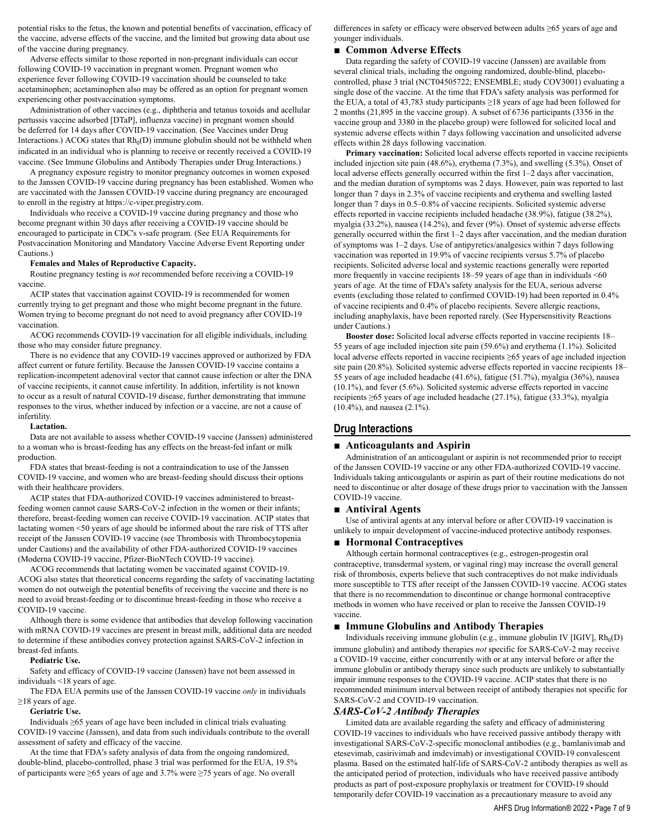potential risks to the fetus, the known and potential benefits of vaccination, efficacy of the vaccine, adverse effects of the vaccine, and the limited but growing data about use of the vaccine during pregnancy.

Adverse effects similar to those reported in non-pregnant individuals can occur following COVID-19 vaccination in pregnant women. Pregnant women who experience fever following COVID-19 vaccination should be counseled to take acetaminophen; acetaminophen also may be offered as an option for pregnant women experiencing other postvaccination symptoms.

Administration of other vaccines (e.g., diphtheria and tetanus toxoids and acellular pertussis vaccine adsorbed [DTaP], influenza vaccine) in pregnant women should be deferred for 14 days after COVID-19 vaccination. (See Vaccines under Drug Interactions.) ACOG states that  $Rh_0(D)$  immune globulin should not be withheld when indicated in an individual who is planning to receive or recently received a COVID-19 vaccine. (See Immune Globulins and Antibody Therapies under Drug Interactions.)

A pregnancy exposure registry to monitor pregnancy outcomes in women exposed to the Janssen COVID-19 vaccine during pregnancy has been established. Women who are vaccinated with the Janssen COVID-19 vaccine during pregnancy are encouraged to enroll in the registry at https://c-viper.pregistry.com.

Individuals who receive a COVID-19 vaccine during pregnancy and those who become pregnant within 30 days after receiving a COVID-19 vaccine should be encouraged to participate in CDC's v-safe program. (See EUA Requirements for Postvaccination Monitoring and Mandatory Vaccine Adverse Event Reporting under Cautions.)

#### **Females and Males of Reproductive Capacity.**

Routine pregnancy testing is *not* recommended before receiving a COVID-19 vaccine.

ACIP states that vaccination against COVID-19 is recommended for women currently trying to get pregnant and those who might become pregnant in the future. Women trying to become pregnant do not need to avoid pregnancy after COVID-19 vaccination.

ACOG recommends COVID-19 vaccination for all eligible individuals, including those who may consider future pregnancy.

There is no evidence that any COVID-19 vaccines approved or authorized by FDA affect current or future fertility. Because the Janssen COVID-19 vaccine contains a replication-incompetent adenoviral vector that cannot cause infection or alter the DNA of vaccine recipients, it cannot cause infertility. In addition, infertility is not known to occur as a result of natural COVID-19 disease, further demonstrating that immune responses to the virus, whether induced by infection or a vaccine, are not a cause of infertility.

#### **Lactation.**

Data are not available to assess whether COVID-19 vaccine (Janssen) administered to a woman who is breast-feeding has any effects on the breast-fed infant or milk production.

FDA states that breast-feeding is not a contraindication to use of the Janssen COVID-19 vaccine, and women who are breast-feeding should discuss their options with their healthcare providers.

ACIP states that FDA-authorized COVID-19 vaccines administered to breastfeeding women cannot cause SARS-CoV-2 infection in the women or their infants; therefore, breast-feeding women can receive COVID-19 vaccination. ACIP states that lactating women <50 years of age should be informed about the rare risk of TTS after receipt of the Janssen COVID-19 vaccine (see Thrombosis with Thrombocytopenia under Cautions) and the availability of other FDA-authorized COVID-19 vaccines (Moderna COVID-19 vaccine, Pfizer-BioNTech COVID-19 vaccine).

ACOG recommends that lactating women be vaccinated against COVID-19. ACOG also states that theoretical concerns regarding the safety of vaccinating lactating women do not outweigh the potential benefits of receiving the vaccine and there is no need to avoid breast-feeding or to discontinue breast-feeding in those who receive a COVID-19 vaccine.

Although there is some evidence that antibodies that develop following vaccination with mRNA COVID-19 vaccines are present in breast milk, additional data are needed to determine if these antibodies convey protection against SARS-CoV-2 infection in breast-fed infants.

#### **Pediatric Use.**

Safety and efficacy of COVID-19 vaccine (Janssen) have not been assessed in individuals <18 years of age.

The FDA EUA permits use of the Janssen COVID-19 vaccine *only* in individuals  $≥18$  years of age.

### **Geriatric Use.**

Individuals ≥65 years of age have been included in clinical trials evaluating COVID-19 vaccine (Janssen), and data from such individuals contribute to the overall assessment of safety and efficacy of the vaccine.

At the time that FDA's safety analysis of data from the ongoing randomized, double-blind, placebo-controlled, phase 3 trial was performed for the EUA, 19.5% of participants were ≥65 years of age and 3.7% were ≥75 years of age. No overall

differences in safety or efficacy were observed between adults ≥65 years of age and younger individuals.

#### **■ Common Adverse Effects**

Data regarding the safety of COVID-19 vaccine (Janssen) are available from several clinical trials, including the ongoing randomized, double-blind, placebocontrolled, phase 3 trial (NCT04505722; ENSEMBLE; study COV3001) evaluating a single dose of the vaccine. At the time that FDA's safety analysis was performed for the EUA, a total of 43,783 study participants ≥18 years of age had been followed for 2 months (21,895 in the vaccine group). A subset of 6736 participants (3356 in the vaccine group and 3380 in the placebo group) were followed for solicited local and systemic adverse effects within 7 days following vaccination and unsolicited adverse effects within 28 days following vaccination.

**Primary vaccination:** Solicited local adverse effects reported in vaccine recipients included injection site pain (48.6%), erythema (7.3%), and swelling (5.3%). Onset of local adverse effects generally occurred within the first 1–2 days after vaccination, and the median duration of symptoms was 2 days. However, pain was reported to last longer than 7 days in 2.3% of vaccine recipients and erythema and swelling lasted longer than 7 days in 0.5–0.8% of vaccine recipients. Solicited systemic adverse effects reported in vaccine recipients included headache (38.9%), fatigue (38.2%), myalgia (33.2%), nausea (14.2%), and fever (9%). Onset of systemic adverse effects generally occurred within the first 1–2 days after vaccination, and the median duration of symptoms was 1–2 days. Use of antipyretics/analgesics within 7 days following vaccination was reported in 19.9% of vaccine recipients versus 5.7% of placebo recipients. Solicited adverse local and systemic reactions generally were reported more frequently in vaccine recipients 18–59 years of age than in individuals <60 years of age. At the time of FDA's safety analysis for the EUA, serious adverse events (excluding those related to confirmed COVID-19) had been reported in 0.4% of vaccine recipients and 0.4% of placebo recipients. Severe allergic reactions, including anaphylaxis, have been reported rarely. (See Hypersensitivity Reactions under Cautions.)

**Booster dose:** Solicited local adverse effects reported in vaccine recipients 18– 55 years of age included injection site pain (59.6%) and erythema (1.1%). Solicited local adverse effects reported in vaccine recipients ≥65 years of age included injection site pain (20.8%). Solicited systemic adverse effects reported in vaccine recipients 18– 55 years of age included headache (41.6%), fatigue (51.7%), myalgia (36%), nausea (10.1%), and fever (5.6%). Solicited systemic adverse effects reported in vaccine recipients ≥65 years of age included headache (27.1%), fatigue (33.3%), myalgia (10.4%), and nausea (2.1%).

# **Drug Interactions**

#### **■ Anticoagulants and Aspirin**

Administration of an anticoagulant or aspirin is not recommended prior to receipt of the Janssen COVID-19 vaccine or any other FDA-authorized COVID-19 vaccine. Individuals taking anticoagulants or aspirin as part of their routine medications do not need to discontinue or alter dosage of these drugs prior to vaccination with the Janssen COVID-19 vaccine.

### **■ Antiviral Agents**

Use of antiviral agents at any interval before or after COVID-19 vaccination is unlikely to impair development of vaccine-induced protective antibody responses.

### **■ Hormonal Contraceptives**

Although certain hormonal contraceptives (e.g., estrogen-progestin oral contraceptive, transdermal system, or vaginal ring) may increase the overall general risk of thrombosis, experts believe that such contraceptives do not make individuals more susceptible to TTS after receipt of the Janssen COVID-19 vaccine. ACOG states that there is no recommendation to discontinue or change hormonal contraceptive methods in women who have received or plan to receive the Janssen COVID-19 vaccine.

#### **■ Immune Globulins and Antibody Therapies**

Individuals receiving immune globulin (e.g., immune globulin IV [IGIV],  $Rh_0(D)$ immune globulin) and antibody therapies *not* specific for SARS-CoV-2 may receive a COVID-19 vaccine, either concurrently with or at any interval before or after the immune globulin or antibody therapy since such products are unlikely to substantially impair immune responses to the COVID-19 vaccine. ACIP states that there is no recommended minimum interval between receipt of antibody therapies not specific for SARS-CoV-2 and COVID-19 vaccination.

### *SARS-CoV-2 Antibody Therapies*

Limited data are available regarding the safety and efficacy of administering COVID-19 vaccines to individuals who have received passive antibody therapy with investigational SARS-CoV-2-specific monoclonal antibodies (e.g., bamlanivimab and etesevimab, casirivimab and imdevimab) or investigational COVID-19 convalescent plasma. Based on the estimated half-life of SARS-CoV-2 antibody therapies as well as the anticipated period of protection, individuals who have received passive antibody products as part of post-exposure prophylaxis or treatment for COVID-19 should temporarily defer COVID-19 vaccination as a precautionary measure to avoid any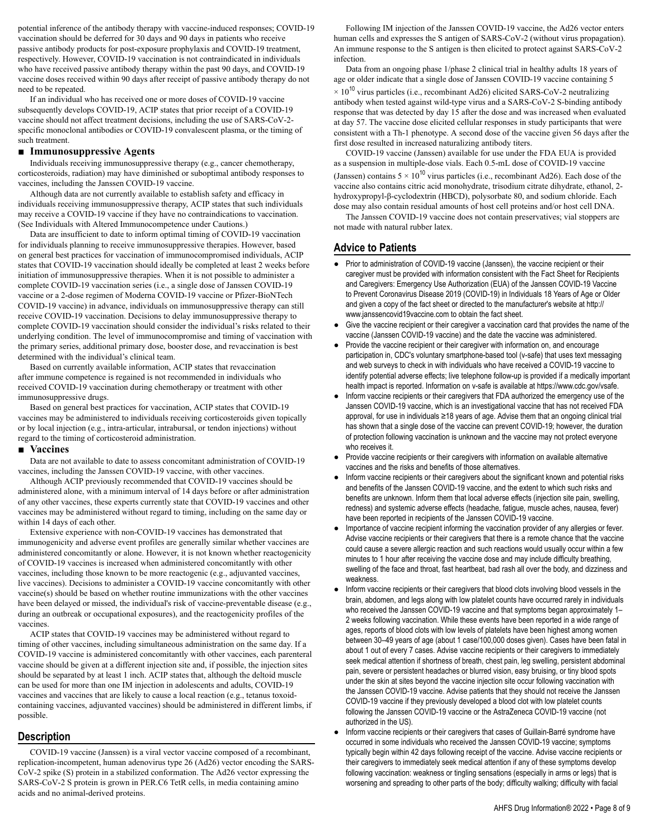potential inference of the antibody therapy with vaccine-induced responses; COVID-19 vaccination should be deferred for 30 days and 90 days in patients who receive passive antibody products for post-exposure prophylaxis and COVID-19 treatment, respectively. However, COVID-19 vaccination is not contraindicated in individuals who have received passive antibody therapy within the past 90 days, and COVID-19 vaccine doses received within 90 days after receipt of passive antibody therapy do not need to be repeated.

If an individual who has received one or more doses of COVID-19 vaccine subsequently develops COVID-19, ACIP states that prior receipt of a COVID-19 vaccine should not affect treatment decisions, including the use of SARS-CoV-2 specific monoclonal antibodies or COVID-19 convalescent plasma, or the timing of such treatment.

# **■ Immunosuppressive Agents**

Individuals receiving immunosuppressive therapy (e.g., cancer chemotherapy, corticosteroids, radiation) may have diminished or suboptimal antibody responses to vaccines, including the Janssen COVID-19 vaccine.

Although data are not currently available to establish safety and efficacy in individuals receiving immunosuppressive therapy, ACIP states that such individuals may receive a COVID-19 vaccine if they have no contraindications to vaccination. (See Individuals with Altered Immunocompetence under Cautions.)

Data are insufficient to date to inform optimal timing of COVID-19 vaccination for individuals planning to receive immunosuppressive therapies. However, based on general best practices for vaccination of immunocompromised individuals, ACIP states that COVID-19 vaccination should ideally be completed at least 2 weeks before initiation of immunosuppressive therapies. When it is not possible to administer a complete COVID-19 vaccination series (i.e., a single dose of Janssen COVID-19 vaccine or a 2-dose regimen of Moderna COVID-19 vaccine or Pfizer-BioNTech COVID-19 vaccine) in advance, individuals on immunosuppressive therapy can still receive COVID-19 vaccination. Decisions to delay immunosuppressive therapy to complete COVID-19 vaccination should consider the individual's risks related to their underlying condition. The level of immunocompromise and timing of vaccination with the primary series, additional primary dose, booster dose, and revaccination is best determined with the individual's clinical team.

Based on currently available information, ACIP states that revaccination after immune competence is regained is not recommended in individuals who received COVID-19 vaccination during chemotherapy or treatment with other immunosuppressive drugs.

Based on general best practices for vaccination, ACIP states that COVID-19 vaccines may be administered to individuals receiving corticosteroids given topically or by local injection (e.g., intra-articular, intrabursal, or tendon injections) without regard to the timing of corticosteroid administration.

### **■ Vaccines**

Data are not available to date to assess concomitant administration of COVID-19 vaccines, including the Janssen COVID-19 vaccine, with other vaccines.

Although ACIP previously recommended that COVID-19 vaccines should be administered alone, with a minimum interval of 14 days before or after administration of any other vaccines, these experts currently state that COVID-19 vaccines and other vaccines may be administered without regard to timing, including on the same day or within 14 days of each other.

Extensive experience with non-COVID-19 vaccines has demonstrated that immunogenicity and adverse event profiles are generally similar whether vaccines are administered concomitantly or alone. However, it is not known whether reactogenicity of COVID-19 vaccines is increased when administered concomitantly with other vaccines, including those known to be more reactogenic (e.g., adjuvanted vaccines, live vaccines). Decisions to administer a COVID-19 vaccine concomitantly with other vaccine(s) should be based on whether routine immunizations with the other vaccines have been delayed or missed, the individual's risk of vaccine-preventable disease (e.g., during an outbreak or occupational exposures), and the reactogenicity profiles of the vaccines.

ACIP states that COVID-19 vaccines may be administered without regard to timing of other vaccines, including simultaneous administration on the same day. If a COVID-19 vaccine is administered concomitantly with other vaccines, each parenteral vaccine should be given at a different injection site and, if possible, the injection sites should be separated by at least 1 inch. ACIP states that, although the deltoid muscle can be used for more than one IM injection in adolescents and adults, COVID-19 vaccines and vaccines that are likely to cause a local reaction (e.g., tetanus toxoidcontaining vaccines, adjuvanted vaccines) should be administered in different limbs, if possible.

# **Description**

COVID-19 vaccine (Janssen) is a viral vector vaccine composed of a recombinant, replication-incompetent, human adenovirus type 26 (Ad26) vector encoding the SARS-CoV-2 spike (S) protein in a stabilized conformation. The Ad26 vector expressing the SARS-CoV-2 S protein is grown in PER.C6 TetR cells, in media containing amino acids and no animal-derived proteins.

Following IM injection of the Janssen COVID-19 vaccine, the Ad26 vector enters human cells and expresses the S antigen of SARS-CoV-2 (without virus propagation). An immune response to the S antigen is then elicited to protect against SARS-CoV-2 infection.

Data from an ongoing phase 1/phase 2 clinical trial in healthy adults 18 years of age or older indicate that a single dose of Janssen COVID-19 vaccine containing 5

 $\times$  10<sup>10</sup> virus particles (i.e., recombinant Ad26) elicited SARS-CoV-2 neutralizing antibody when tested against wild-type virus and a SARS-CoV-2 S-binding antibody response that was detected by day 15 after the dose and was increased when evaluated at day 57. The vaccine dose elicited cellular responses in study participants that were consistent with a Th-1 phenotype. A second dose of the vaccine given 56 days after the first dose resulted in increased naturalizing antibody titers.

COVID-19 vaccine (Janssen) available for use under the FDA EUA is provided as a suspension in multiple-dose vials. Each 0.5-mL dose of COVID-19 vaccine

(Janssen) contains  $5 \times 10^{10}$  virus particles (i.e., recombinant Ad26). Each dose of the vaccine also contains citric acid monohydrate, trisodium citrate dihydrate, ethanol, 2 hydroxypropyl-β-cyclodextrin (HBCD), polysorbate 80, and sodium chloride. Each dose may also contain residual amounts of host cell proteins and/or host cell DNA.

The Janssen COVID-19 vaccine does not contain preservatives; vial stoppers are not made with natural rubber latex.

# **Advice to Patients**

- Prior to administration of COVID-19 vaccine (Janssen), the vaccine recipient or their caregiver must be provided with information consistent with the Fact Sheet for Recipients and Caregivers: Emergency Use Authorization (EUA) of the Janssen COVID-19 Vaccine to Prevent Coronavirus Disease 2019 (COVID-19) in Individuals 18 Years of Age or Older and given a copy of the fact sheet or directed to the manufacturer's website at http:// www.janssencovid19vaccine.com to obtain the fact sheet.
- Give the vaccine recipient or their caregiver a vaccination card that provides the name of the vaccine (Janssen COVID-19 vaccine) and the date the vaccine was administered.
- Provide the vaccine recipient or their caregiver with information on, and encourage participation in, CDC's voluntary smartphone-based tool (v-safe) that uses text messaging and web surveys to check in with individuals who have received a COVID-19 vaccine to identify potential adverse effects; live telephone follow-up is provided if a medically important health impact is reported. Information on v-safe is available at https://www.cdc.gov/vsafe.
- Inform vaccine recipients or their caregivers that FDA authorized the emergency use of the Janssen COVID-19 vaccine, which is an investigational vaccine that has not received FDA approval, for use in individuals ≥18 years of age. Advise them that an ongoing clinical trial has shown that a single dose of the vaccine can prevent COVID-19; however, the duration of protection following vaccination is unknown and the vaccine may not protect everyone who receives it.
- Provide vaccine recipients or their caregivers with information on available alternative vaccines and the risks and benefits of those alternatives.
- Inform vaccine recipients or their caregivers about the significant known and potential risks and benefits of the Janssen COVID-19 vaccine, and the extent to which such risks and benefits are unknown. Inform them that local adverse effects (injection site pain, swelling, redness) and systemic adverse effects (headache, fatigue, muscle aches, nausea, fever) have been reported in recipients of the Janssen COVID-19 vaccine.
- Importance of vaccine recipient informing the vaccination provider of any allergies or fever. Advise vaccine recipients or their caregivers that there is a remote chance that the vaccine could cause a severe allergic reaction and such reactions would usually occur within a few minutes to 1 hour after receiving the vaccine dose and may include difficulty breathing, swelling of the face and throat, fast heartbeat, bad rash all over the body, and dizziness and weakness.
- Inform vaccine recipients or their caregivers that blood clots involving blood vessels in the brain, abdomen, and legs along with low platelet counts have occurred rarely in individuals who received the Janssen COVID-19 vaccine and that symptoms began approximately 1-2 weeks following vaccination. While these events have been reported in a wide range of ages, reports of blood clots with low levels of platelets have been highest among women between 30–49 years of age (about 1 case/100,000 doses given). Cases have been fatal in about 1 out of every 7 cases. Advise vaccine recipients or their caregivers to immediately seek medical attention if shortness of breath, chest pain, leg swelling, persistent abdominal pain, severe or persistent headaches or blurred vision, easy bruising, or tiny blood spots under the skin at sites beyond the vaccine injection site occur following vaccination with the Janssen COVID-19 vaccine. Advise patients that they should not receive the Janssen COVID-19 vaccine if they previously developed a blood clot with low platelet counts following the Janssen COVID-19 vaccine or the AstraZeneca COVID-19 vaccine (not authorized in the US).
- Inform vaccine recipients or their caregivers that cases of Guillain-Barré syndrome have occurred in some individuals who received the Janssen COVID-19 vaccine; symptoms typically begin within 42 days following receipt of the vaccine. Advise vaccine recipients or their caregivers to immediately seek medical attention if any of these symptoms develop following vaccination: weakness or tingling sensations (especially in arms or legs) that is worsening and spreading to other parts of the body; difficulty walking; difficulty with facial